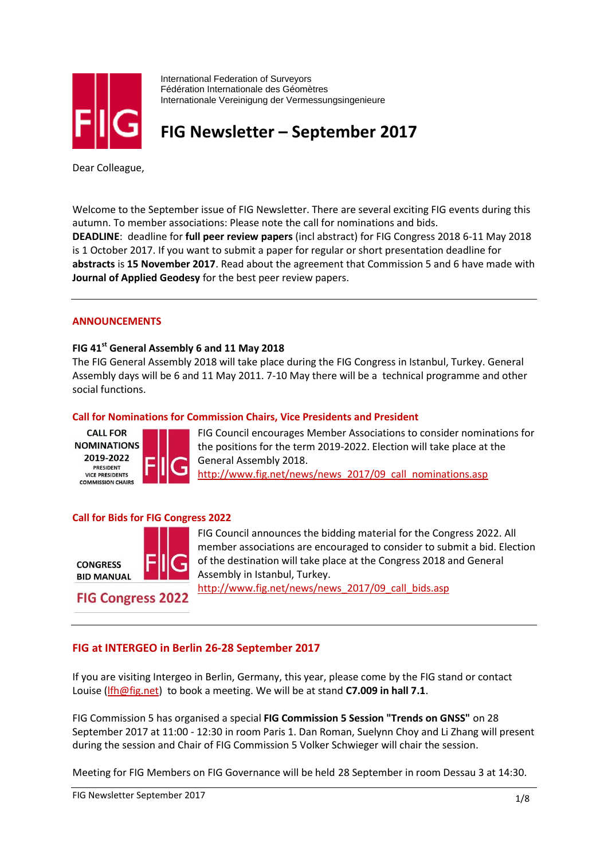

International Federation of Surveyors Fédération Internationale des Géomètres Internationale Vereinigung der Vermessungsingenieure

# **FIG Newsletter – September 2017**

Dear Colleague,

Welcome to the September issue of FIG Newsletter. There are several exciting FIG events during this autumn. To member associations: Please note the call for nominations and bids. **DEADLINE**: deadline for **full peer review papers** (incl abstract) for FIG Congress 2018 6-11 May 2018 is 1 October 2017. If you want to submit a paper for regular or short presentation deadline for **abstracts** is **15 November 2017**. Read about the agreement that Commission 5 and 6 have made with **Journal of Applied Geodesy** for the best peer review papers.

#### **ANNOUNCEMENTS**

#### **FIG 41st General Assembly 6 and 11 May 2018**

The FIG General Assembly 2018 will take place during the FIG Congress in Istanbul, Turkey. General Assembly days will be 6 and 11 May 2011. 7-10 May there will be a technical programme and other social functions.

#### **Call for Nominations for Commission Chairs, Vice Presidents and President**



FIG Council encourages Member Associations to consider nominations for the positions for the term 2019-2022. Election will take place at the General Assembly 2018. [http://www.fig.net/news/news\\_2017/09\\_call\\_nominations.asp](http://www.fig.net/news/news_2017/09_call_nominations.asp)

#### **Call for Bids for FIG Congress 2022**



**FIG Congress 2022** 

FIG Council announces the bidding material for the Congress 2022. All member associations are encouraged to consider to submit a bid. Election of the destination will take place at the Congress 2018 and General Assembly in Istanbul, Turkey.

[http://www.fig.net/news/news\\_2017/09\\_call\\_bids.asp](http://www.fig.net/news/news_2017/09_call_bids.asp)

# **FIG at INTERGEO in Berlin 26-28 September 2017**

If you are visiting Intergeo in Berlin, Germany, this year, please come by the FIG stand or contact Louise [\(lfh@fig.net\)](mailto:lfh@fig.net) to book a meeting. We will be at stand **C7.009 in hall 7.1**.

FIG Commission 5 has organised a special **FIG Commission 5 Session "Trends on GNSS"** on 28 September 2017 at 11:00 - 12:30 in room Paris 1. Dan Roman, Suelynn Choy and Li Zhang will present during the session and Chair of FIG Commission 5 Volker Schwieger will chair the session.

Meeting for FIG Members on FIG Governance will be held 28 September in room Dessau 3 at 14:30.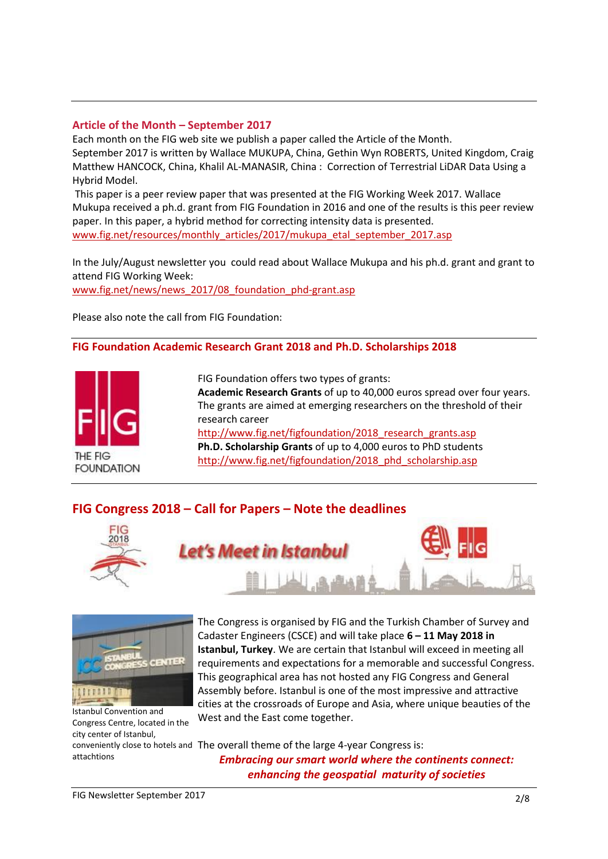# **Article of the Month – September 2017**

Each month on the FIG web site we publish a paper called the Article of the Month. September 2017 is written by Wallace MUKUPA, China, Gethin Wyn ROBERTS, United Kingdom, Craig Matthew HANCOCK, China, Khalil AL-MANASIR, China : Correction of Terrestrial LiDAR Data Using a Hybrid Model.

This paper is a peer review paper that was presented at the FIG Working Week 2017. Wallace Mukupa received a ph.d. grant from FIG Foundation in 2016 and one of the results is this peer review paper. In this paper, a hybrid method for correcting intensity data is presented. [www.fig.net/resources/monthly\\_articles/2017/mukupa\\_etal\\_september\\_2017.asp](http://www.fig.net/resources/monthly_articles/2017/mukupa_etal_september_2017.asp)

In the July/August newsletter you could read about Wallace Mukupa and his ph.d. grant and grant to attend FIG Working Week:

[www.fig.net/news/news\\_2017/08\\_foundation\\_phd-grant.asp](http://www.fig.net/news/news_2017/08_foundation_phd-grant.asp)

Please also note the call from FIG Foundation:

#### **FIG Foundation Academic Research Grant 2018 and Ph.D. Scholarships 2018**



FIG Foundation offers two types of grants: **Academic Research Grants** of up to 40,000 euros spread over four years. The grants are aimed at emerging researchers on the threshold of their research career http://www.fig.net/figfoundation/2018 research grants.asp **Ph.D. Scholarship Grants** of up to 4,000 euros to PhD students http://www.fig.net/figfoundation/2018 phd scholarship.asp

# **FIG Congress 2018 – Call for Papers – Note the deadlines**

Let's Meet in Istanbu





Istanbul Convention and Congress Centre, located in the city center of Istanbul,

attachtions

The Congress is organised by FIG and the Turkish Chamber of Survey and Cadaster Engineers (CSCE) and will take place **6 – 11 May 2018 in Istanbul, Turkey**. We are certain that Istanbul will exceed in meeting all requirements and expectations for a memorable and successful Congress. This geographical area has not hosted any FIG Congress and General Assembly before. Istanbul is one of the most impressive and attractive cities at the crossroads of Europe and Asia, where unique beauties of the West and the East come together.

conveniently close to hotels and The overall theme of the large 4-year Congress is: *Embracing our smart world where the continents connect: enhancing the geospatial maturity of societies*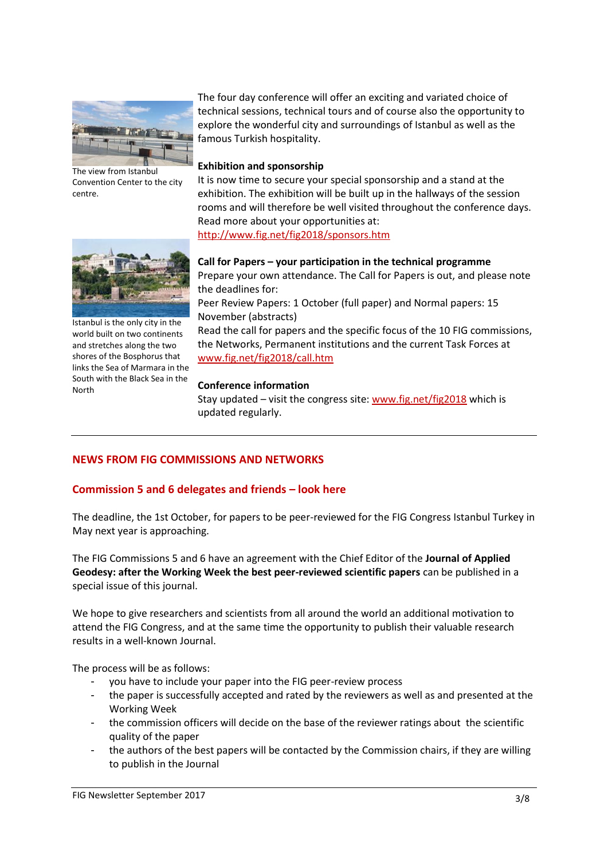

The view from Istanbul Convention Center to the city centre.

The four day conference will offer an exciting and variated choice of technical sessions, technical tours and of course also the opportunity to explore the wonderful city and surroundings of Istanbul as well as the famous Turkish hospitality.

#### **Exhibition and sponsorship**

It is now time to secure your special sponsorship and a stand at the exhibition. The exhibition will be built up in the hallways of the session rooms and will therefore be well visited throughout the conference days. Read more about your opportunities at: <http://www.fig.net/fig2018/sponsors.htm>



Istanbul is the only city in the world built on two continents and stretches along the two shores of the Bosphorus that links the Sea of Marmara in the South with the Black Sea in the North

**Call for Papers – your participation in the technical programme** Prepare your own attendance. The Call for Papers is out, and please note the deadlines for:

Peer Review Papers: 1 October (full paper) and Normal papers: 15 November (abstracts)

Read the call for papers and the specific focus of the 10 FIG commissions, the Networks, Permanent institutions and the current Task Forces at [www.fig.net/fig2018/call.htm](http://www.fig.net/fig2018/call.htm)

#### **Conference information**

Stay updated – visit the congress site: [www.fig.net/fig2018](http://www.fig.net/fig2018) which is updated regularly.

# **NEWS FROM FIG COMMISSIONS AND NETWORKS**

# **Commission 5 and 6 delegates and friends – look here**

The deadline, the 1st October, for papers to be peer-reviewed for the FIG Congress Istanbul Turkey in May next year is approaching.

The FIG Commissions 5 and 6 have an agreement with the Chief Editor of the **Journal of Applied Geodesy: after the Working Week the best peer-reviewed scientific papers** can be published in a special issue of this journal.

We hope to give researchers and scientists from all around the world an additional motivation to attend the FIG Congress, and at the same time the opportunity to publish their valuable research results in a well-known Journal.

The process will be as follows:

- you have to include your paper into the FIG peer-review process
- the paper is successfully accepted and rated by the reviewers as well as and presented at the Working Week
- the commission officers will decide on the base of the reviewer ratings about the scientific quality of the paper
- the authors of the best papers will be contacted by the Commission chairs, if they are willing to publish in the Journal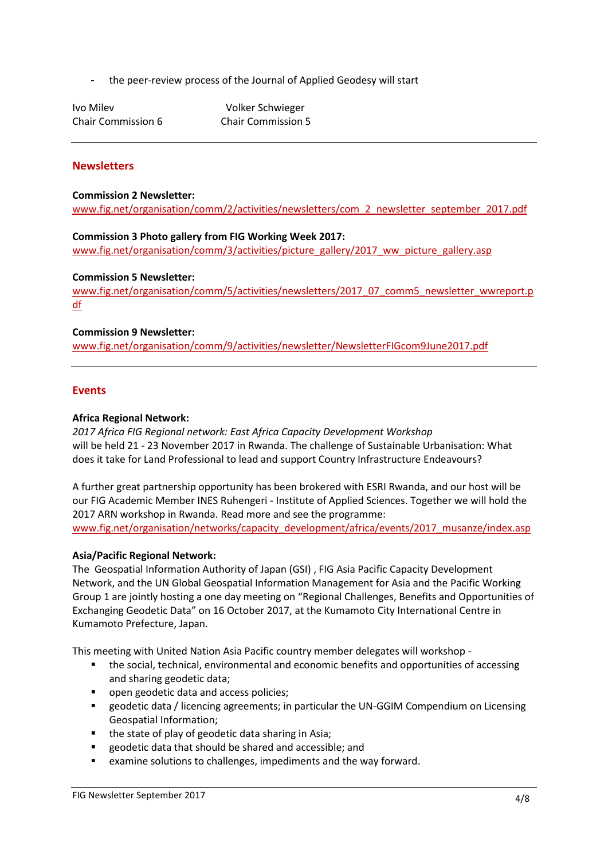- the peer-review process of the Journal of Applied Geodesy will start

Ivo Milev **Volker Schwieger** 

Chair Commission 6 Chair Commission 5

# **Newsletters**

**Commission 2 Newsletter:**  [www.fig.net/organisation/comm/2/activities/newsletters/com\\_2\\_newsletter\\_september\\_2017.pdf](http://www.fig.net/organisation/comm/2/activities/newsletters/com_2_newsletter_september_2017.pdf)

#### **Commission 3 Photo gallery from FIG Working Week 2017:**

[www.fig.net/organisation/comm/3/activities/picture\\_gallery/2017\\_ww\\_picture\\_gallery.asp](http://www.fig.net/organisation/comm/3/activities/picture_gallery/2017_ww_picture_gallery.asp)

#### **Commission 5 Newsletter:**

[www.fig.net/organisation/comm/5/activities/newsletters/2017\\_07\\_comm5\\_newsletter\\_wwreport.p](http://www.fig.net/organisation/comm/5/activities/newsletters/2017_07_comm5_newsletter_wwreport.pdf) [df](http://www.fig.net/organisation/comm/5/activities/newsletters/2017_07_comm5_newsletter_wwreport.pdf)

#### **Commission 9 Newsletter:**

[www.fig.net/organisation/comm/9/activities/newsletter/NewsletterFIGcom9June2017.pdf](http://www.fig.net/organisation/comm/9/activities/newsletter/NewsletterFIGcom9June2017.pdf)

#### **Events**

#### **Africa Regional Network:**

*2017 Africa FIG Regional network: East Africa Capacity Development Workshop* will be held 21 - 23 November 2017 in Rwanda. The challenge of Sustainable Urbanisation: What does it take for Land Professional to lead and support Country Infrastructure Endeavours?

A further great partnership opportunity has been brokered with ESRI Rwanda, and our host will be our FIG Academic Member INES Ruhengeri - Institute of Applied Sciences. Together we will hold the 2017 ARN workshop in Rwanda. Read more and see the programme: [www.fig.net/organisation/networks/capacity\\_development/africa/events/2017\\_musanze/index.asp](http://www.fig.net/organisation/networks/capacity_development/africa/events/2017_musanze/index.asp)

#### **Asia/Pacific Regional Network:**

The Geospatial Information Authority of Japan (GSI) , FIG Asia Pacific Capacity Development Network, and the UN Global Geospatial Information Management for Asia and the Pacific Working Group 1 are jointly hosting a one day meeting on "Regional Challenges, Benefits and Opportunities of Exchanging Geodetic Data" on 16 October 2017, at the Kumamoto City International Centre in Kumamoto Prefecture, Japan.

This meeting with United Nation Asia Pacific country member delegates will workshop -

- **the social, technical, environmental and economic benefits and opportunities of accessing** and sharing geodetic data;
- open geodetic data and access policies;
- geodetic data / licencing agreements; in particular the UN-GGIM Compendium on Licensing Geospatial Information;
- **the state of play of geodetic data sharing in Asia;**
- geodetic data that should be shared and accessible; and
- examine solutions to challenges, impediments and the way forward.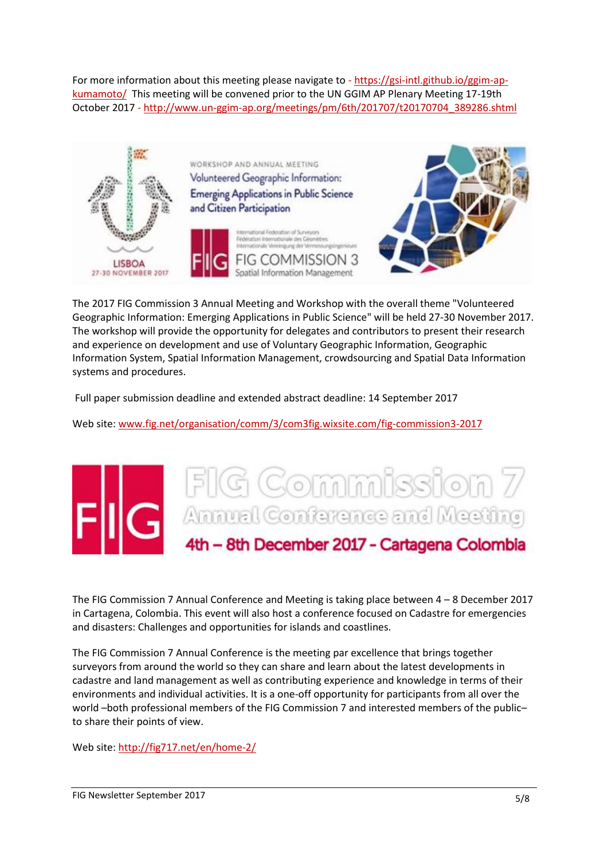For more information about this meeting please navigate to - [https://gsi-intl.github.io/ggim-ap](https://gsi-intl.github.io/ggim-ap-kumamoto/)[kumamoto/](https://gsi-intl.github.io/ggim-ap-kumamoto/) This meeting will be convened prior to the UN GGIM AP Plenary Meeting 17-19th October 2017 - [http://www.un-ggim-ap.org/meetings/pm/6th/201707/t20170704\\_389286.shtml](http://www.un-ggim-ap.org/meetings/pm/6th/201707/t20170704_389286.shtml)



The 2017 FIG Commission 3 Annual Meeting and Workshop with the overall theme "Volunteered Geographic Information: Emerging Applications in Public Science" will be held 27-30 November 2017. The workshop will provide the opportunity for delegates and contributors to present their research and experience on development and use of Voluntary Geographic Information, Geographic Information System, Spatial Information Management, crowdsourcing and Spatial Data Information systems and procedures.

Full paper submission deadline and extended abstract deadline: 14 September 2017

Web site: [www.fig.net/organisation/comm/3/com3fig.wixsite.com/fig-commission3-2017](http://www.fig.net/organisation/comm/3/com3fig.wixsite.com/fig-commission3-2017)

# FIG Commission 7 4th - 8th December 2017 - Cartagena Colombia

The FIG Commission 7 Annual Conference and Meeting is taking place between 4 – 8 December 2017 in Cartagena, Colombia. This event will also host a conference focused on Cadastre for emergencies and disasters: Challenges and opportunities for islands and coastlines.

The FIG Commission 7 Annual Conference is the meeting par excellence that brings together surveyors from around the world so they can share and learn about the latest developments in cadastre and land management as well as contributing experience and knowledge in terms of their environments and individual activities. It is a one-off opportunity for participants from all over the world –both professional members of the FIG Commission 7 and interested members of the public– to share their points of view.

Web site: http://fig717.net/en/home-2/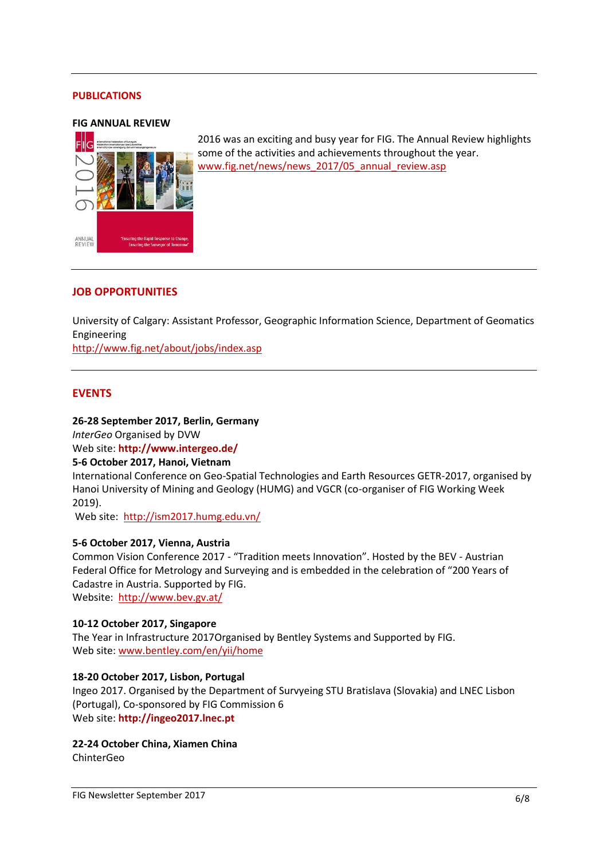#### **PUBLICATIONS**





2016 was an exciting and busy year for FIG. The Annual Review highlights some of the activities and achievements throughout the year. [www.fig.net/news/news\\_2017/05\\_annual\\_review.asp](http://www.fig.net/news/news_2017/05_annual_review.asp) 

#### **JOB OPPORTUNITIES**

University of Calgary: Assistant Professor, Geographic Information Science, Department of Geomatics Engineering

<http://www.fig.net/about/jobs/index.asp>

#### **EVENTS**

#### **26-28 September 2017, Berlin, Germany**

*InterGeo* Organised by DVW Web site: **<http://www.intergeo.de/>**

#### **5-6 October 2017, Hanoi, Vietnam**

International Conference on Geo-Spatial Technologies and Earth Resources GETR-2017, organised by Hanoi University of Mining and Geology (HUMG) and VGCR (co-organiser of FIG Working Week 2019).

Web site: <http://ism2017.humg.edu.vn/>

#### **5-6 October 2017, Vienna, Austria**

Common Vision Conference 2017 - "Tradition meets Innovation". Hosted by the BEV - Austrian Federal Office for Metrology and Surveying and is embedded in the celebration of "200 Years of Cadastre in Austria. Supported by FIG.

Website: <http://www.bev.gv.at/>

#### **10-12 October 2017, Singapore**

The Year in Infrastructure 2017Organised by Bentley Systems and Supported by FIG. Web site: [www.bentley.com/en/yii/home](http://www.bentley.com/en/yii/home)

#### **18-20 October 2017, Lisbon, Portugal**

Ingeo 2017. Organised by the Department of Survyeing STU Bratislava (Slovakia) and LNEC Lisbon (Portugal), Co-sponsored by FIG Commission 6 Web site: **[http://ingeo2017.lnec.pt](http://ingeo2017.lnec.pt/)**

#### **22-24 October China, Xiamen China**

ChinterGeo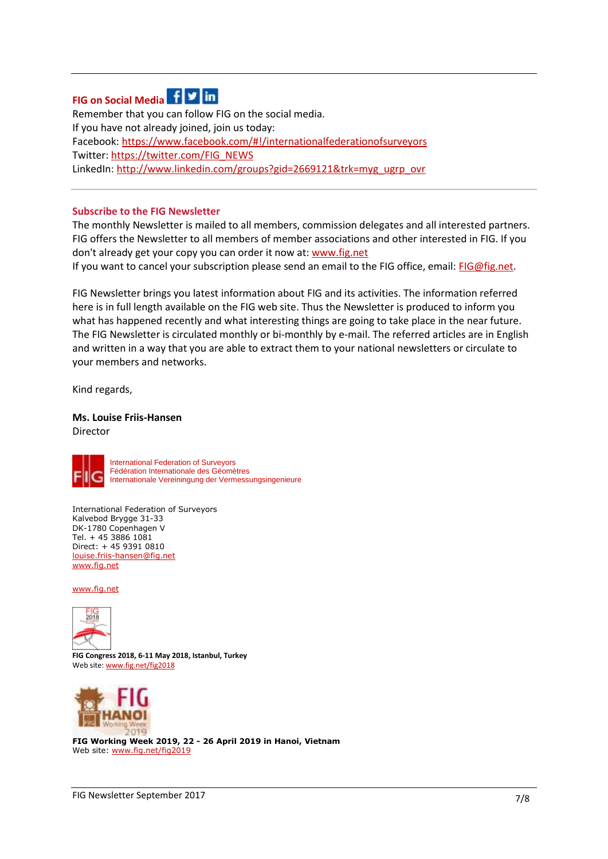# **FIG on Social Media**

Remember that you can follow FIG on the social media. If you have not already joined, join us today: Facebook:<https://www.facebook.com/#!/internationalfederationofsurveyors> Twitter: [https://twitter.com/FIG\\_NEWS](https://twitter.com/FIG_NEWS) LinkedIn: [http://www.linkedin.com/groups?gid=2669121&trk=myg\\_ugrp\\_ovr](http://www.linkedin.com/groups?gid=2669121&trk=myg_ugrp_ovr) 

#### **Subscribe to the FIG Newsletter**

The monthly Newsletter is mailed to all members, commission delegates and all interested partners. FIG offers the Newsletter to all members of member associations and other interested in FIG. If you don't already get your copy you can order it now at: [www.fig.net](http://www.fig.net/pub/subscriptions/getnewsletter.htm)

If you want to cancel your subscription please send an email to the FIG office, email: [FIG@fig.net.](mailto:FIG@fig.net)

FIG Newsletter brings you latest information about FIG and its activities. The information referred here is in full length available on the FIG web site. Thus the Newsletter is produced to inform you what has happened recently and what interesting things are going to take place in the near future. The FIG Newsletter is circulated monthly or bi-monthly by e-mail. The referred articles are in English and written in a way that you are able to extract them to your national newsletters or circulate to your members and networks.

Kind regards,

**Ms. Louise Friis-Hansen**  Director



International Federation of Surveyors Fédération Internationale des Géomètres Internationale Vereiningung der Vermessungsingenieure

International Federation of Surveyors Kalvebod Brygge 31-33 DK-1780 Copenhagen V Tel. + 45 3886 1081 Direct: + 45 9391 0810 [louise.friis-hansen@fig.net](mailto:louise.friis-hansen@fig.net)  [www.fig.net](http://www.fig.net/)

[www.fig.net](http://www.fig.net/)



**FIG Congress 2018, 6-11 May 2018, Istanbul, Turkey** Web site[: www.fig.net/fig2018](http://www.fig.net/fig2018)



**FIG Working Week 2019, 22 - 26 April 2019 in Hanoi, Vietnam** Web site[: www.fig.net/fig2019](http://www.fig.net/fig2019)